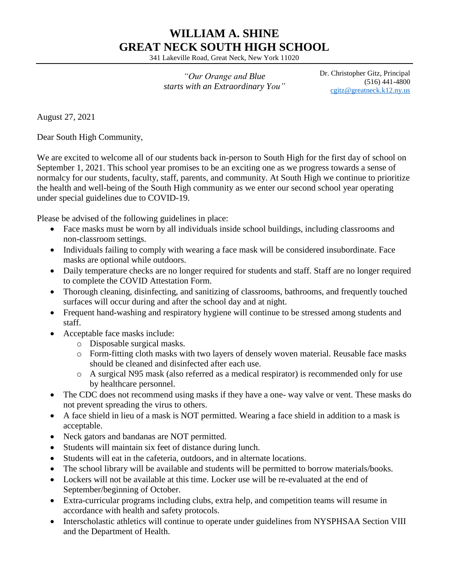## **WILLIAM A. SHINE GREAT NECK SOUTH HIGH SCHOOL**

341 Lakeville Road, Great Neck, New York 11020

*"Our Orange and Blue starts with an Extraordinary You"* Dr. Christopher Gitz, Principal (516) 441-4800 [cgitz@greatneck.k12.ny.us](mailto:cgitz@greatneck.k12.ny.us)

August 27, 2021

Dear South High Community,

We are excited to welcome all of our students back in-person to South High for the first day of school on September 1, 2021. This school year promises to be an exciting one as we progress towards a sense of normalcy for our students, faculty, staff, parents, and community. At South High we continue to prioritize the health and well-being of the South High community as we enter our second school year operating under special guidelines due to COVID-19.

Please be advised of the following guidelines in place:

- Face masks must be worn by all individuals inside school buildings, including classrooms and non-classroom settings.
- Individuals failing to comply with wearing a face mask will be considered insubordinate. Face masks are optional while outdoors.
- Daily temperature checks are no longer required for students and staff. Staff are no longer required to complete the COVID Attestation Form.
- Thorough cleaning, disinfecting, and sanitizing of classrooms, bathrooms, and frequently touched surfaces will occur during and after the school day and at night.
- Frequent hand-washing and respiratory hygiene will continue to be stressed among students and staff.
- Acceptable face masks include:
	- o Disposable surgical masks.
	- o Form-fitting cloth masks with two layers of densely woven material. Reusable face masks should be cleaned and disinfected after each use.
	- o A surgical N95 mask (also referred as a medical respirator) is recommended only for use by healthcare personnel.
- The CDC does not recommend using masks if they have a one- way valve or vent. These masks do not prevent spreading the virus to others.
- A face shield in lieu of a mask is NOT permitted. Wearing a face shield in addition to a mask is acceptable.
- Neck gators and bandanas are NOT permitted.
- Students will maintain six feet of distance during lunch.
- Students will eat in the cafeteria, outdoors, and in alternate locations.
- The school library will be available and students will be permitted to borrow materials/books.
- Lockers will not be available at this time. Locker use will be re-evaluated at the end of September/beginning of October.
- Extra-curricular programs including clubs, extra help, and competition teams will resume in accordance with health and safety protocols.
- Interscholastic athletics will continue to operate under guidelines from NYSPHSAA Section VIII and the Department of Health.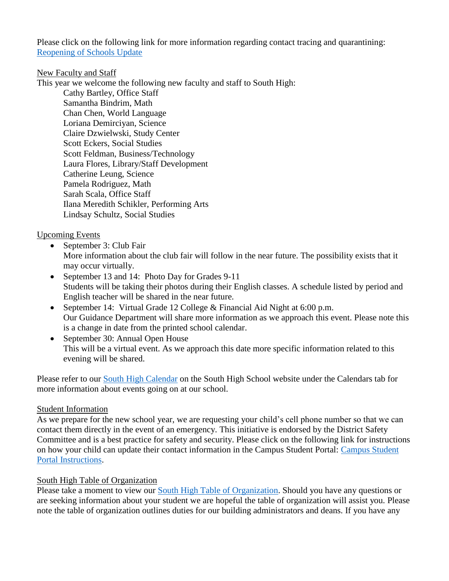Please click on the following link for more information regarding contact tracing and quarantining: [Reopening of Schools Update](https://ny02208059.schoolwires.net/cms/lib/NY02208059/Centricity/domain/27/presentations2021-22/BOE%20Presentation%20Reopening%20of%20Schools%208-25-21.pdf)

## New Faculty and Staff

This year we welcome the following new faculty and staff to South High:

Cathy Bartley, Office Staff Samantha Bindrim, Math Chan Chen, World Language Loriana Demirciyan, Science Claire Dzwielwski, Study Center Scott Eckers, Social Studies Scott Feldman, Business/Technology Laura Flores, Library/Staff Development Catherine Leung, Science Pamela Rodriguez, Math Sarah Scala, Office Staff Ilana Meredith Schikler, Performing Arts Lindsay Schultz, Social Studies

Upcoming Events

- September 3: Club Fair More information about the club fair will follow in the near future. The possibility exists that it may occur virtually.
- September 13 and 14: Photo Day for Grades 9-11 Students will be taking their photos during their English classes. A schedule listed by period and English teacher will be shared in the near future.
- September 14: Virtual Grade 12 College & Financial Aid Night at 6:00 p.m. Our Guidance Department will share more information as we approach this event. Please note this is a change in date from the printed school calendar.
- September 30: Annual Open House This will be a virtual event. As we approach this date more specific information related to this evening will be shared.

Please refer to our **South High Calendar** on the South High School website under the Calendars tab for more information about events going on at our school.

## Student Information

As we prepare for the new school year, we are requesting your child's cell phone number so that we can contact them directly in the event of an emergency. This initiative is endorsed by the District Safety Committee and is a best practice for safety and security. Please click on the following link for instructions on how your child can update their contact information in the Campus Student Portal: [Campus Student](https://ny02208059.schoolwires.net/cms/lib/NY02208059/Centricity/Domain/775/Updating%20Contact%20Information%20in%20the%20Campus%20Student%20Portal.pdf)  [Portal Instructions.](https://ny02208059.schoolwires.net/cms/lib/NY02208059/Centricity/Domain/775/Updating%20Contact%20Information%20in%20the%20Campus%20Student%20Portal.pdf)

## South High Table of Organization

Please take a moment to view our [South High Table of Organization.](https://ny02208059.schoolwires.net/cms/lib/NY02208059/Centricity/Domain/775/Table%20of%20Organization.pdf) Should you have any questions or are seeking information about your student we are hopeful the table of organization will assist you. Please note the table of organization outlines duties for our building administrators and deans. If you have any